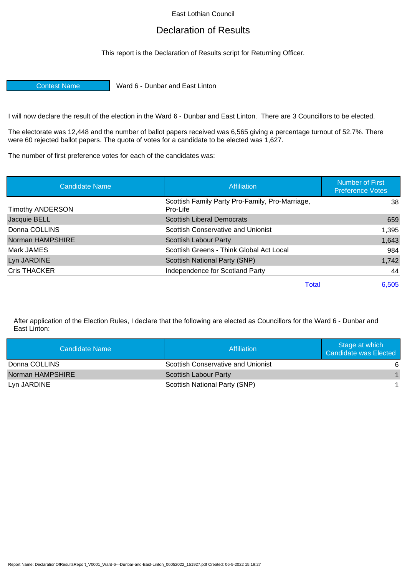East Lothian Council

## Declaration of Results

This report is the Declaration of Results script for Returning Officer.

Contest Name Ward 6 - Dunbar and East Linton

I will now declare the result of the election in the Ward 6 - Dunbar and East Linton. There are 3 Councillors to be elected.

The electorate was 12,448 and the number of ballot papers received was 6,565 giving a percentage turnout of 52.7%. There were 60 rejected ballot papers. The quota of votes for a candidate to be elected was 1,627.

The number of first preference votes for each of the candidates was:

| <b>Candidate Name</b>   | Affiliation                                                 | <b>Number of First</b><br><b>Preference Votes</b> |
|-------------------------|-------------------------------------------------------------|---------------------------------------------------|
| <b>Timothy ANDERSON</b> | Scottish Family Party Pro-Family, Pro-Marriage,<br>Pro-Life | 38                                                |
| Jacquie BELL            | <b>Scottish Liberal Democrats</b>                           | 659                                               |
| Donna COLLINS           | Scottish Conservative and Unionist                          | 1,395                                             |
| Norman HAMPSHIRE        | Scottish Labour Party                                       | 1,643                                             |
| Mark JAMES              | Scottish Greens - Think Global Act Local                    | 984                                               |
| Lyn JARDINE             | Scottish National Party (SNP)                               | 1,742                                             |
| Cris THACKER            | Independence for Scotland Party                             | 44                                                |
|                         | <b>Total</b>                                                | 6,505                                             |

After application of the Election Rules, I declare that the following are elected as Councillors for the Ward 6 - Dunbar and East Linton:

| Candidate Name   | Affiliation                               | Stage at which<br><b>Candidate was Elected</b> |
|------------------|-------------------------------------------|------------------------------------------------|
| Donna COLLINS    | <b>Scottish Conservative and Unionist</b> | -6                                             |
| Norman HAMPSHIRE | <b>Scottish Labour Party</b>              | $\mathbf{1}$                                   |
| Lyn JARDINE      | Scottish National Party (SNP)             |                                                |